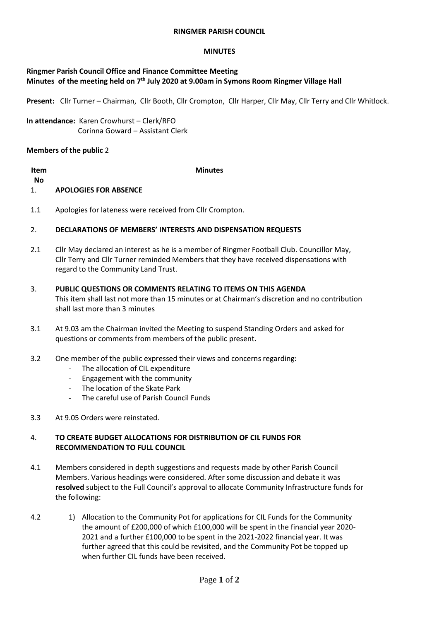#### **RINGMER PARISH COUNCIL**

#### **MINUTES**

## **Ringmer Parish Council Office and Finance Committee Meeting Minutes of the meeting held on 7 th July 2020 at 9.00am in Symons Room Ringmer Village Hall**

**Present:** Cllr Turner – Chairman, Cllr Booth, Cllr Crompton, Cllr Harper, Cllr May, Cllr Terry and Cllr Whitlock.

**In attendance:** Karen Crowhurst – Clerk/RFO Corinna Goward – Assistant Clerk

### **Members of the public** 2

| Item |                              | <b>Minutes</b> |
|------|------------------------------|----------------|
| No   |                              |                |
| 1.   | <b>APOLOGIES FOR ABSENCE</b> |                |
|      |                              |                |

1.1 Apologies for lateness were received from Cllr Crompton.

#### 2. **DECLARATIONS OF MEMBERS' INTERESTS AND DISPENSATION REQUESTS**

- 2.1 Cllr May declared an interest as he is a member of Ringmer Football Club. Councillor May, Cllr Terry and Cllr Turner reminded Members that they have received dispensations with regard to the Community Land Trust.
- 3. **PUBLIC QUESTIONS OR COMMENTS RELATING TO ITEMS ON THIS AGENDA** This item shall last not more than 15 minutes or at Chairman's discretion and no contribution shall last more than 3 minutes
- 3.1 At 9.03 am the Chairman invited the Meeting to suspend Standing Orders and asked for questions or comments from members of the public present.
- 3.2 One member of the public expressed their views and concerns regarding:
	- The allocation of CIL expenditure
	- Engagement with the community
	- The location of the Skate Park
	- The careful use of Parish Council Funds
- 3.3 At 9.05 Orders were reinstated.

#### 4. **TO CREATE BUDGET ALLOCATIONS FOR DISTRIBUTION OF CIL FUNDS FOR RECOMMENDATION TO FULL COUNCIL**

- 4.1 Members considered in depth suggestions and requests made by other Parish Council Members. Various headings were considered. After some discussion and debate it was **resolved** subject to the Full Council's approval to allocate Community Infrastructure funds for the following:
- 4.2 1) Allocation to the Community Pot for applications for CIL Funds for the Community the amount of £200,000 of which £100,000 will be spent in the financial year 2020- 2021 and a further £100,000 to be spent in the 2021-2022 financial year. It was further agreed that this could be revisited, and the Community Pot be topped up when further CIL funds have been received.